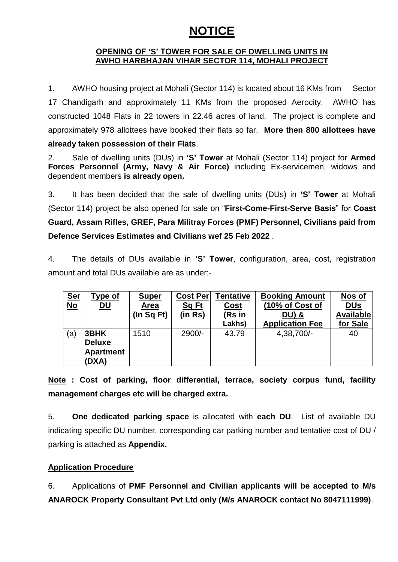## **NOTICE**

## **OPENING OF "S" TOWER FOR SALE OF DWELLING UNITS IN AWHO HARBHAJAN VIHAR SECTOR 114, MOHALI PROJECT**

1. AWHO housing project at Mohali (Sector 114) is located about 16 KMs from Sector 17 Chandigarh and approximately 11 KMs from the proposed Aerocity. AWHO has constructed 1048 Flats in 22 towers in 22.46 acres of land. The project is complete and approximately 978 allottees have booked their flats so far. **More then 800 allottees have already taken possession of their Flats**.

2. Sale of dwelling units (DUs) in **"S" Tower** at Mohali (Sector 114) project for **Armed Forces Personnel (Army, Navy & Air Force)** including Ex-servicemen, widows and dependent members **is already open.**

3. It has been decided that the sale of dwelling units (DUs) in **"S" Tower** at Mohali (Sector 114) project be also opened for sale on "**First-Come-First-Serve Basis**" for **Coast Guard, Assam Rifles, GREF, Para Militray Forces (PMF) Personnel, Civilians paid from Defence Services Estimates and Civilians wef 25 Feb 2022** .

4. The details of DUs available in **"S" Tower**, configuration, area, cost, registration amount and total DUs available are as under:-

| <u>Ser</u><br>$No$ | <b>Type of</b><br><u>DU</u>                        | <b>Super</b><br>Area<br>$($ In Sq Ft $)$ | Cost Per<br><b>Sq Ft</b><br>(in Rs) | Tentative<br><b>Cost</b><br>(Rs in<br>Lakhs) | <b>Booking Amount</b><br>(10% of Cost of<br><b>DU) &amp;</b><br><b>Application Fee</b> | Nos of<br><u>DUs</u><br><b>Available</b><br>for Sale |
|--------------------|----------------------------------------------------|------------------------------------------|-------------------------------------|----------------------------------------------|----------------------------------------------------------------------------------------|------------------------------------------------------|
| (a)                | 3BHK<br><b>Deluxe</b><br><b>Apartment</b><br>(DXA) | 1510                                     | $2900/-$                            | 43.79                                        | 4,38,700/-                                                                             | 40                                                   |

**Note : Cost of parking, floor differential, terrace, society corpus fund, facility management charges etc will be charged extra.** 

5. **One dedicated parking space** is allocated with **each DU**. List of available DU indicating specific DU number, corresponding car parking number and tentative cost of DU / parking is attached as **Appendix.**

## **Application Procedure**

6. Applications of **PMF Personnel and Civilian applicants will be accepted to M/s ANAROCK Property Consultant Pvt Ltd only (M/s ANAROCK contact No 8047111999)**.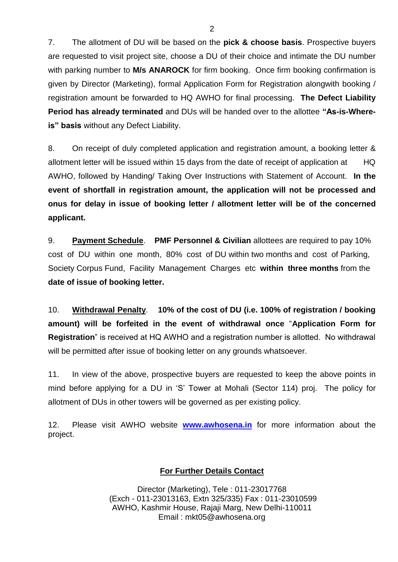7. The allotment of DU will be based on the **pick & choose basis**. Prospective buyers are requested to visit project site, choose a DU of their choice and intimate the DU number with parking number to **M/s ANAROCK** for firm booking. Once firm booking confirmation is given by Director (Marketing), formal Application Form for Registration alongwith booking / registration amount be forwarded to HQ AWHO for final processing. **The Defect Liability Period has already terminated** and DUs will be handed over to the allottee **"As-is-Whereis" basis** without any Defect Liability.

8. On receipt of duly completed application and registration amount, a booking letter & allotment letter will be issued within 15 days from the date of receipt of application at HQ AWHO, followed by Handing/ Taking Over Instructions with Statement of Account. **In the event of shortfall in registration amount, the application will not be processed and onus for delay in issue of booking letter / allotment letter will be of the concerned applicant.**

9. **Payment Schedule**. **PMF Personnel & Civilian** allottees are required to pay 10% cost of DU within one month, 80% cost of DU within two months and cost of Parking, Society Corpus Fund, Facility Management Chargesetc **within three months** from the **date of issue of booking letter.** 

10. **Withdrawal Penalty**. **10% of the cost of DU (i.e. 100% of registration / booking amount) will be forfeited in the event of withdrawal once** "**Application Form for Registration**" is received at HQ AWHO and a registration number is allotted. No withdrawal will be permitted after issue of booking letter on any grounds whatsoever.

11. In view of the above, prospective buyers are requested to keep the above points in mind before applying for a DU in "S" Tower at Mohali (Sector 114) proj. The policy for allotment of DUs in other towers will be governed as per existing policy.

12. Please visit AWHO website **[www.awhosena.in](http://www.awhosena.in/)** for more information about the project.

## **For Further Details Contact**

Director (Marketing), Tele : 011-23017768 (Exch - 011-23013163, Extn 325/335) Fax : 011-23010599 AWHO, Kashmir House, Rajaji Marg, New Delhi-110011 Email : mkt05@awhosena.org